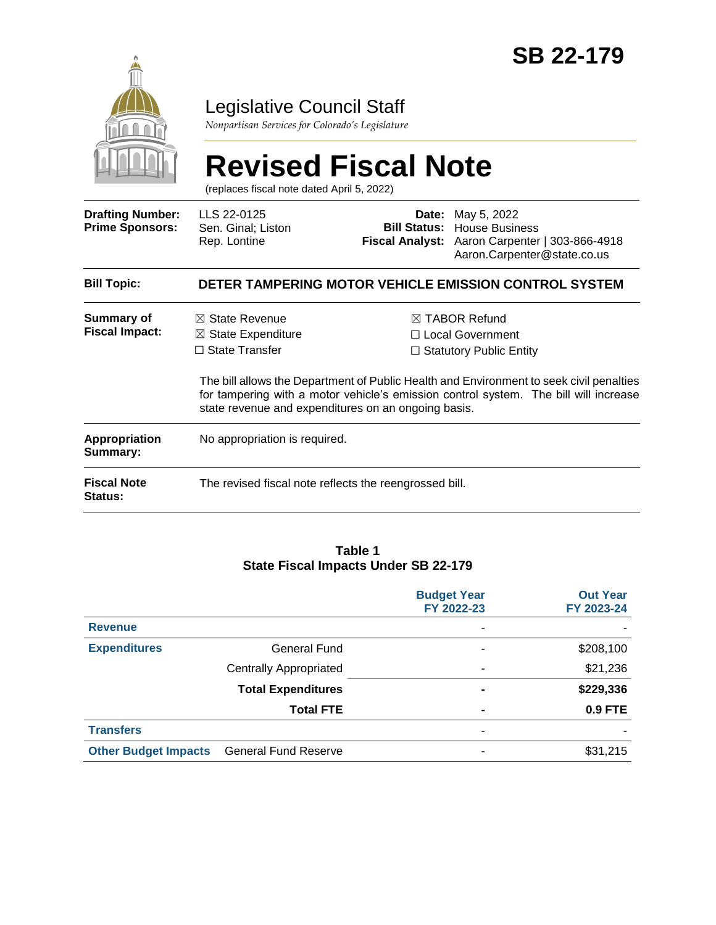

### Legislative Council Staff

*Nonpartisan Services for Colorado's Legislature*

|                                                   | <b>Revised Fiscal Note</b><br>(replaces fiscal note dated April 5, 2022)            |                                                                                                                                                                                                                                                                                                                                 |                                                                                                                       |  |
|---------------------------------------------------|-------------------------------------------------------------------------------------|---------------------------------------------------------------------------------------------------------------------------------------------------------------------------------------------------------------------------------------------------------------------------------------------------------------------------------|-----------------------------------------------------------------------------------------------------------------------|--|
| <b>Drafting Number:</b><br><b>Prime Sponsors:</b> | LLS 22-0125<br>Sen. Ginal; Liston<br>Rep. Lontine                                   | Date:<br><b>Bill Status:</b>                                                                                                                                                                                                                                                                                                    | May 5, 2022<br><b>House Business</b><br>Fiscal Analyst: Aaron Carpenter   303-866-4918<br>Aaron.Carpenter@state.co.us |  |
| <b>Bill Topic:</b>                                |                                                                                     |                                                                                                                                                                                                                                                                                                                                 | DETER TAMPERING MOTOR VEHICLE EMISSION CONTROL SYSTEM                                                                 |  |
| Summary of<br><b>Fiscal Impact:</b>               | $\boxtimes$ State Revenue<br>$\boxtimes$ State Expenditure<br>$\Box$ State Transfer | $\boxtimes$ TABOR Refund<br>$\Box$ Local Government<br>$\Box$ Statutory Public Entity<br>The bill allows the Department of Public Health and Environment to seek civil penalties<br>for tampering with a motor vehicle's emission control system. The bill will increase<br>state revenue and expenditures on an ongoing basis. |                                                                                                                       |  |
| <b>Appropriation</b><br>Summary:                  | No appropriation is required.                                                       |                                                                                                                                                                                                                                                                                                                                 |                                                                                                                       |  |
| <b>Fiscal Note</b><br><b>Status:</b>              | The revised fiscal note reflects the reengrossed bill.                              |                                                                                                                                                                                                                                                                                                                                 |                                                                                                                       |  |

#### **Table 1 State Fiscal Impacts Under SB 22-179**

|                             |                               | <b>Budget Year</b><br>FY 2022-23 | <b>Out Year</b><br>FY 2023-24 |
|-----------------------------|-------------------------------|----------------------------------|-------------------------------|
| <b>Revenue</b>              |                               | ٠                                |                               |
| <b>Expenditures</b>         | <b>General Fund</b>           | ۰                                | \$208,100                     |
|                             | <b>Centrally Appropriated</b> | ۰                                | \$21,236                      |
|                             | <b>Total Expenditures</b>     | $\blacksquare$                   | \$229,336                     |
|                             | <b>Total FTE</b>              | $\blacksquare$                   | 0.9 FTE                       |
| <b>Transfers</b>            |                               | ٠                                |                               |
| <b>Other Budget Impacts</b> | <b>General Fund Reserve</b>   | -                                | \$31,215                      |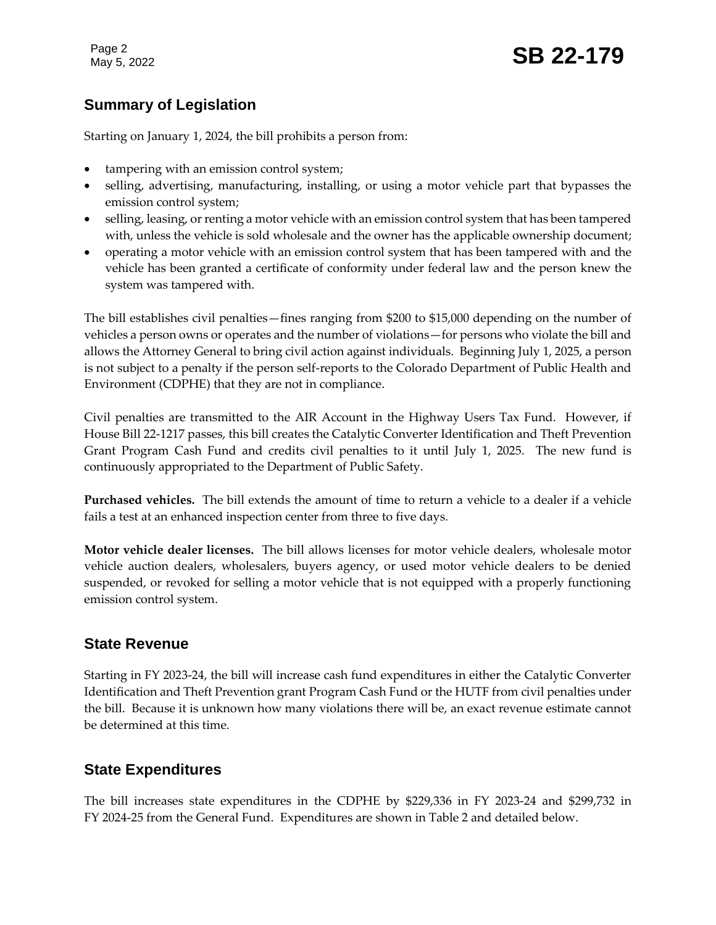Page 2

# Page 2<br>May 5, 2022 **SB 22-179**

### **Summary of Legislation**

Starting on January 1, 2024, the bill prohibits a person from:

- tampering with an emission control system;
- selling, advertising, manufacturing, installing, or using a motor vehicle part that bypasses the emission control system;
- selling, leasing, or renting a motor vehicle with an emission control system that has been tampered with, unless the vehicle is sold wholesale and the owner has the applicable ownership document;
- operating a motor vehicle with an emission control system that has been tampered with and the vehicle has been granted a certificate of conformity under federal law and the person knew the system was tampered with.

The bill establishes civil penalties—fines ranging from \$200 to \$15,000 depending on the number of vehicles a person owns or operates and the number of violations—for persons who violate the bill and allows the Attorney General to bring civil action against individuals. Beginning July 1, 2025, a person is not subject to a penalty if the person self-reports to the Colorado Department of Public Health and Environment (CDPHE) that they are not in compliance.

Civil penalties are transmitted to the AIR Account in the Highway Users Tax Fund. However, if House Bill 22-1217 passes, this bill creates the Catalytic Converter Identification and Theft Prevention Grant Program Cash Fund and credits civil penalties to it until July 1, 2025. The new fund is continuously appropriated to the Department of Public Safety.

**Purchased vehicles.** The bill extends the amount of time to return a vehicle to a dealer if a vehicle fails a test at an enhanced inspection center from three to five days.

**Motor vehicle dealer licenses.** The bill allows licenses for motor vehicle dealers, wholesale motor vehicle auction dealers, wholesalers, buyers agency, or used motor vehicle dealers to be denied suspended, or revoked for selling a motor vehicle that is not equipped with a properly functioning emission control system.

### **State Revenue**

Starting in FY 2023-24, the bill will increase cash fund expenditures in either the Catalytic Converter Identification and Theft Prevention grant Program Cash Fund or the HUTF from civil penalties under the bill. Because it is unknown how many violations there will be, an exact revenue estimate cannot be determined at this time.

### **State Expenditures**

The bill increases state expenditures in the CDPHE by \$229,336 in FY 2023-24 and \$299,732 in FY 2024-25 from the General Fund. Expenditures are shown in Table 2 and detailed below.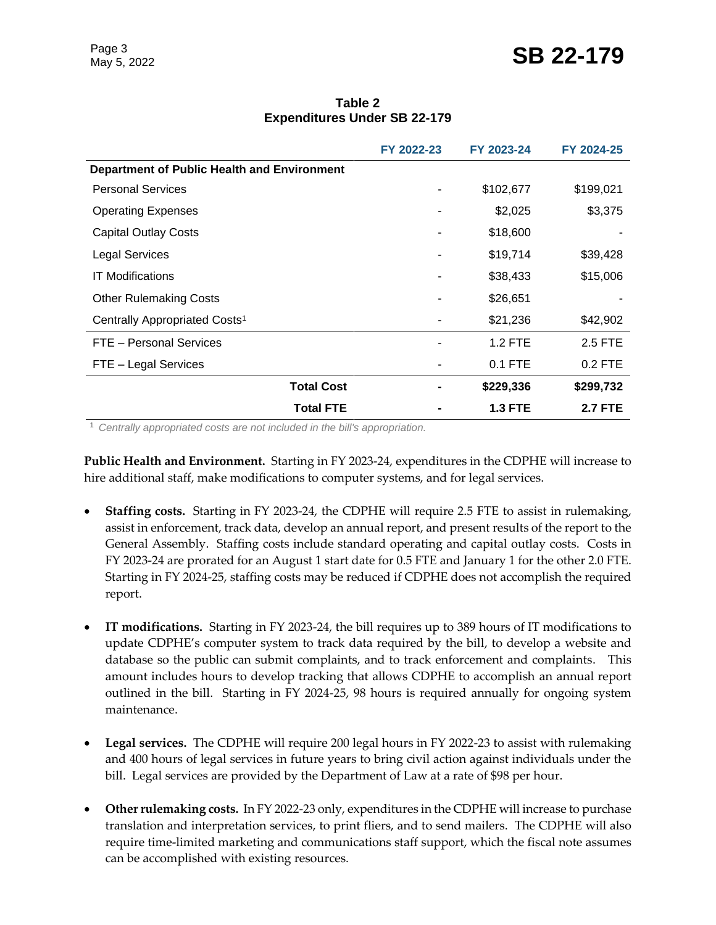## Page 3<br>May 5, 2022 **SB 22-179**

| Table 2                             |  |  |  |  |
|-------------------------------------|--|--|--|--|
| <b>Expenditures Under SB 22-179</b> |  |  |  |  |

|                                                    | FY 2022-23 | FY 2023-24     | FY 2024-25     |
|----------------------------------------------------|------------|----------------|----------------|
| <b>Department of Public Health and Environment</b> |            |                |                |
| <b>Personal Services</b>                           |            | \$102,677      | \$199,021      |
| <b>Operating Expenses</b>                          |            | \$2,025        | \$3,375        |
| <b>Capital Outlay Costs</b>                        |            | \$18,600       |                |
| <b>Legal Services</b>                              |            | \$19,714       | \$39,428       |
| <b>IT Modifications</b>                            |            | \$38,433       | \$15,006       |
| <b>Other Rulemaking Costs</b>                      |            | \$26,651       |                |
| Centrally Appropriated Costs <sup>1</sup>          |            | \$21,236       | \$42,902       |
| FTE - Personal Services                            |            | $1.2$ FTE      | 2.5 FTE        |
| FTE - Legal Services                               |            | $0.1$ FTE      | $0.2$ FTE      |
| <b>Total Cost</b>                                  |            | \$229,336      | \$299,732      |
| <b>Total FTE</b>                                   |            | <b>1.3 FTE</b> | <b>2.7 FTE</b> |

<sup>1</sup> *Centrally appropriated costs are not included in the bill's appropriation.*

**Public Health and Environment.** Starting in FY 2023-24, expenditures in the CDPHE will increase to hire additional staff, make modifications to computer systems, and for legal services.

- **Staffing costs.**Starting in FY 2023-24, the CDPHE will require 2.5 FTE to assist in rulemaking, assist in enforcement, track data, develop an annual report, and present results of the report to the General Assembly. Staffing costs include standard operating and capital outlay costs. Costs in FY 2023-24 are prorated for an August 1 start date for 0.5 FTE and January 1 for the other 2.0 FTE. Starting in FY 2024-25, staffing costs may be reduced if CDPHE does not accomplish the required report.
- **IT modifications.** Starting in FY 2023-24, the bill requires up to 389 hours of IT modifications to update CDPHE's computer system to track data required by the bill, to develop a website and database so the public can submit complaints, and to track enforcement and complaints. This amount includes hours to develop tracking that allows CDPHE to accomplish an annual report outlined in the bill. Starting in FY 2024-25, 98 hours is required annually for ongoing system maintenance.
- **Legal services.** The CDPHE will require 200 legal hours in FY 2022-23 to assist with rulemaking and 400 hours of legal services in future years to bring civil action against individuals under the bill. Legal services are provided by the Department of Law at a rate of \$98 per hour.
- **Other rulemaking costs.** In FY 2022-23 only, expenditures in the CDPHE will increase to purchase translation and interpretation services, to print fliers, and to send mailers. The CDPHE will also require time-limited marketing and communications staff support, which the fiscal note assumes can be accomplished with existing resources.